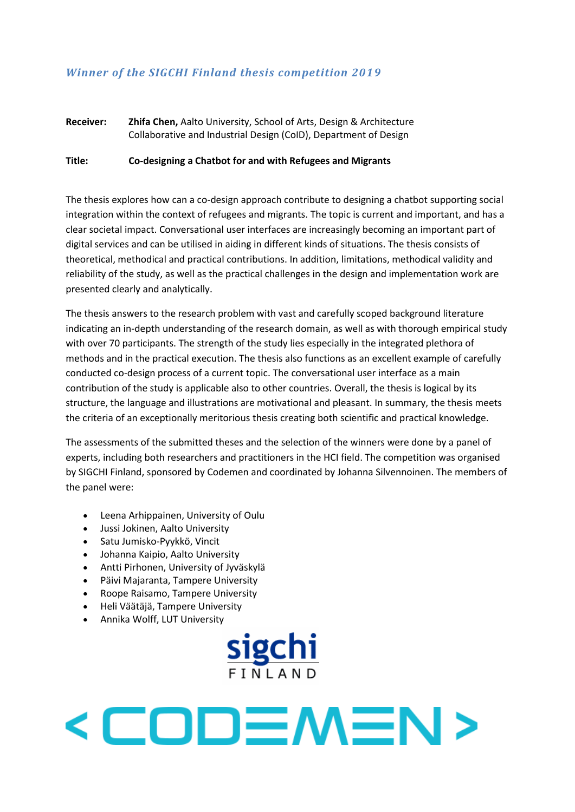## *Winner of the SIGCHI Finland thesis competition 2019*

### **Receiver: Zhifa Chen,** Aalto University, School of Arts, Design & Architecture Collaborative and Industrial Design (CoID), Department of Design

#### **Title: Co-designing a Chatbot for and with Refugees and Migrants**

The thesis explores how can a co-design approach contribute to designing a chatbot supporting social integration within the context of refugees and migrants. The topic is current and important, and has a clear societal impact. Conversational user interfaces are increasingly becoming an important part of digital services and can be utilised in aiding in different kinds of situations. The thesis consists of theoretical, methodical and practical contributions. In addition, limitations, methodical validity and reliability of the study, as well as the practical challenges in the design and implementation work are presented clearly and analytically.

The thesis answers to the research problem with vast and carefully scoped background literature indicating an in-depth understanding of the research domain, as well as with thorough empirical study with over 70 participants. The strength of the study lies especially in the integrated plethora of methods and in the practical execution. The thesis also functions as an excellent example of carefully conducted co-design process of a current topic. The conversational user interface as a main contribution of the study is applicable also to other countries. Overall, the thesis is logical by its structure, the language and illustrations are motivational and pleasant. In summary, the thesis meets the criteria of an exceptionally meritorious thesis creating both scientific and practical knowledge.

The assessments of the submitted theses and the selection of the winners were done by a panel of experts, including both researchers and practitioners in the HCI field. The competition was organised by SIGCHI Finland, sponsored by Codemen and coordinated by Johanna Silvennoinen. The members of the panel were:

- Leena Arhippainen, University of Oulu
- Jussi Jokinen, Aalto University
- Satu Jumisko-Pyykkö, Vincit
- Johanna Kaipio, Aalto University
- Antti Pirhonen, University of Jyväskylä
- Päivi Majaranta, Tampere University
- Roope Raisamo, Tampere University
- Heli Väätäjä, Tampere University
- Annika Wolff, LUT University

# <u>sigchi</u>

# <CODEMEN>